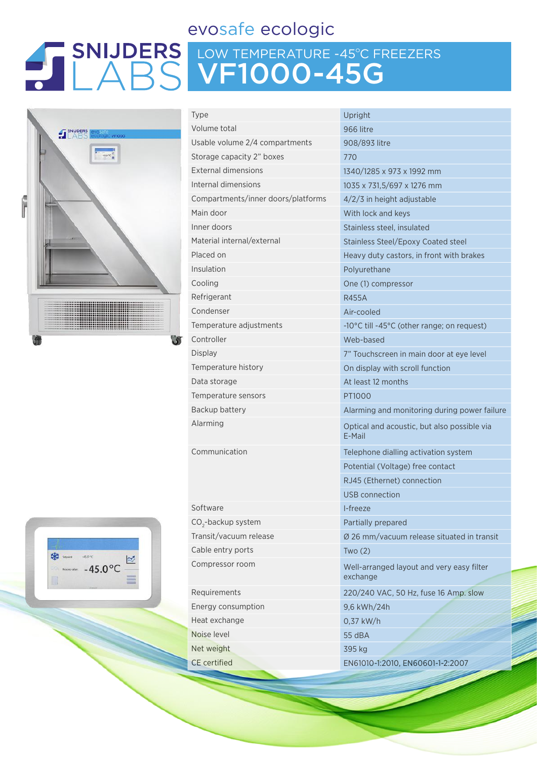### evosafe ecologic

# LOW TEMPERATURE -45ºC FREEZERS VF1000-45G



| $\begin{array}{cccc}\n&\text{#} & \text{#} & \text{#} \\ &\text{#} & \text{#} & \text{#} \\ &\text{#} & \text{#} & \text{#} \\ &\text{#} & \text{#} & \text{#} \\ &\text{#} & \text{#} & \text{#} \\ &\text{#} & \text{#} & \text{#} \\ &\text{#} & \text{#} & \text{#} & \text{#} \\ &\text{#} & \text{#} & \text{#} & \text{#} \\ &\text{#} & \text{#} & \text{#} & \text{#} \\ &\text{#} & \text{#} & \text{#} & \text{#$ |  |
|------------------------------------------------------------------------------------------------------------------------------------------------------------------------------------------------------------------------------------------------------------------------------------------------------------------------------------------------------------------------------------------------------------------------------|--|
|                                                                                                                                                                                                                                                                                                                                                                                                                              |  |
|                                                                                                                                                                                                                                                                                                                                                                                                                              |  |

| Type                               | Upright                                               |
|------------------------------------|-------------------------------------------------------|
| Volume total                       | 966 litre                                             |
| Usable volume 2/4 compartments     | 908/893 litre                                         |
| Storage capacity 2" boxes          | 770                                                   |
| <b>External dimensions</b>         | 1340/1285 x 973 x 1992 mm                             |
| Internal dimensions                | 1035 x 731,5/697 x 1276 mm                            |
| Compartments/inner doors/platforms | $4/2/3$ in height adjustable                          |
| Main door                          | With lock and keys                                    |
| Inner doors                        | Stainless steel, insulated                            |
| Material internal/external         | <b>Stainless Steel/Epoxy Coated steel</b>             |
| Placed on                          | Heavy duty castors, in front with brakes              |
| Insulation                         | Polyurethane                                          |
| Cooling                            | One (1) compressor                                    |
| Refrigerant                        | R455A                                                 |
| Condenser                          | Air-cooled                                            |
| Temperature adjustments            | -10°C till -45°C (other range; on request)            |
| Controller                         | Web-based                                             |
| Display                            | 7" Touchscreen in main door at eye level              |
| Temperature history                | On display with scroll function                       |
| Data storage                       | At least 12 months                                    |
| Temperature sensors                | PT1000                                                |
| Backup battery                     | Alarming and monitoring during power failure          |
| Alarming                           | Optical and acoustic, but also possible via<br>E-Mail |
| Communication                      | Telephone dialling activation system                  |
|                                    | Potential (Voltage) free contact                      |
|                                    | RJ45 (Ethernet) connection                            |
|                                    | USB connection                                        |
| Software                           | I-freeze                                              |
| CO <sub>2</sub> -backup system     | Partially prepared                                    |
| Transit/vacuum release             | Ø 26 mm/vacuum release situated in transit            |
| Cable entry ports                  | Two(2)                                                |
| Compressor room                    | Well-arranged layout and very easy filter<br>exchange |
| Requirements                       | 220/240 VAC, 50 Hz, fuse 16 Amp. slow                 |
| Energy consumption                 | 9,6 kWh/24h                                           |
| Heat exchange                      | $0,37$ kW/h                                           |
| Noise level                        | <b>55 dBA</b>                                         |
| Net weight                         | 395 kg                                                |
| <b>CE</b> certified                | EN61010-1:2010, EN60601-1-2:2007                      |
|                                    |                                                       |